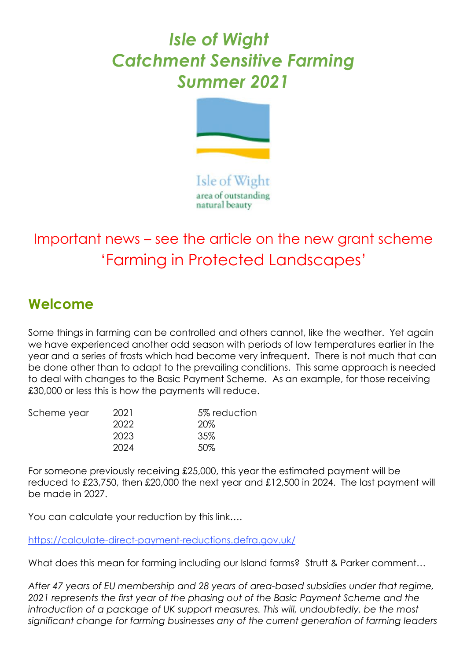## *Isle of Wight Catchment Sensitive Farming Summer 2021*



Isle of Wight area of outstanding natural beauty

## Important news – see the article on the new grant scheme 'Farming in Protected Landscapes'

## **Welcome**

Some things in farming can be controlled and others cannot, like the weather. Yet again we have experienced another odd season with periods of low temperatures earlier in the year and a series of frosts which had become very infrequent. There is not much that can be done other than to adapt to the prevailing conditions. This same approach is needed to deal with changes to the Basic Payment Scheme. As an example, for those receiving £30,000 or less this is how the payments will reduce.

| 2021 | 5% reduction |
|------|--------------|
| 2022 | 20%          |
| 2023 | 35%          |
| 2024 | 50%          |
|      |              |

For someone previously receiving £25,000, this year the estimated payment will be reduced to £23,750, then £20,000 the next year and £12,500 in 2024. The last payment will be made in 2027.

You can calculate your reduction by this link....

<https://calculate-direct-payment-reductions.defra.gov.uk/>

What does this mean for farming including our Island farms? Strutt & Parker comment...

*After 47 years of EU membership and 28 years of area-based subsidies under that regime, 2021 represents the first year of the phasing out of the Basic Payment Scheme and the*  introduction of a package of UK support measures. This will, undoubtedly, be the most *significant change for farming businesses any of the current generation of farming leaders*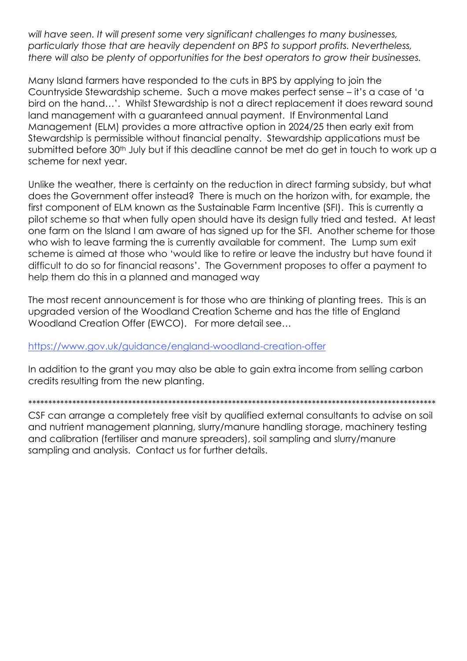will have seen. It will present some very significant challenges to many businesses, particularly those that are heavily dependent on BPS to support profits. Nevertheless, there will also be plenty of opportunities for the best operators to grow their businesses.

Many Island farmers have responded to the cuts in BPS by applying to join the Countryside Stewardship scheme. Such a move makes perfect sense – it's a case of 'a bird on the hand...'. Whilst Stewardship is not a direct replacement it does reward sound land management with a guaranteed annual payment. If Environmental Land Management (ELM) provides a more attractive option in 2024/25 then early exit from Stewardship is permissible without financial penalty. Stewardship applications must be submitted before 30<sup>th</sup> July but if this deadline cannot be met do get in touch to work up a scheme for next year.

Unlike the weather, there is certainty on the reduction in direct farming subsidy, but what does the Government offer instead? There is much on the horizon with, for example, the first component of ELM known as the Sustainable Farm Incentive (SFI). This is currently a pilot scheme so that when fully open should have its design fully tried and tested. At least one farm on the Island I am aware of has signed up for the SFI. Another scheme for those who wish to leave farming the is currently available for comment. The Lump sum exit scheme is aimed at those who 'would like to retire or leave the industry but have found it difficult to do so for financial reasons'. The Government proposes to offer a payment to help them do this in a planned and managed way

The most recent announcement is for those who are thinking of planting trees. This is an upgraded version of the Woodland Creation Scheme and has the title of England Woodland Creation Offer (EWCO). For more detail see...

## https://www.gov.uk/guidance/england-woodland-creation-offer

In addition to the grant you may also be able to gain extra income from selling carbon credits resulting from the new planting.

CSF can arrange a completely free visit by qualified external consultants to advise on soil and nutrient management planning, slurry/manure handling storage, machinery testing and calibration (fertiliser and manure spreaders), soil sampling and slurry/manure sampling and analysis. Contact us for further details.